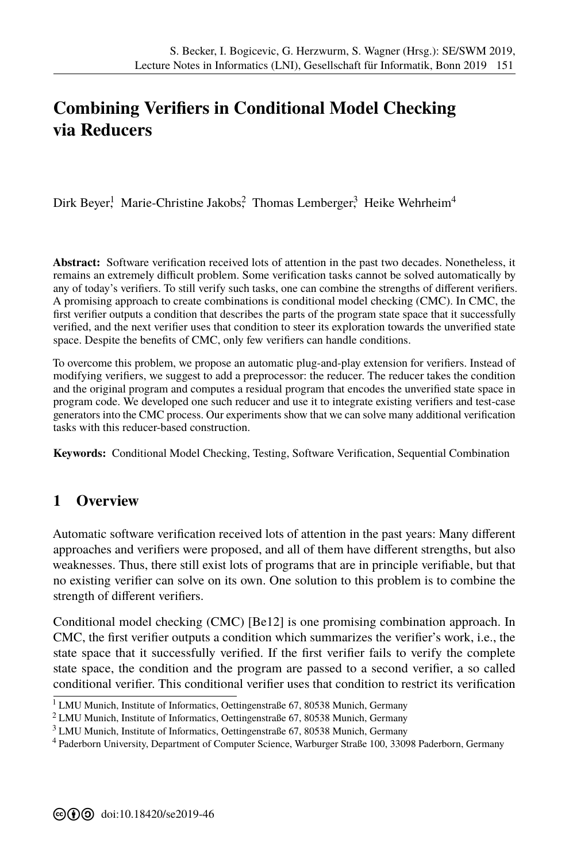## **Combining Verifiers in Conditional Model Checking via Reducers**

Dirk Beyer,<sup>1</sup> Marie-Christine Jakobs,<sup>2</sup> Thomas Lemberger,<sup>3</sup> Heike Wehrheim<sup>4</sup>

**Abstract:** Software verification received lots of attention in the past two decades. Nonetheless, it remains an extremely difficult problem. Some verification tasks cannot be solved automatically by any of today's verifiers. To still verify such tasks, one can combine the strengths of different verifiers. A promising approach to create combinations is conditional model checking (CMC). In CMC, the first verifier outputs a condition that describes the parts of the program state space that it successfully verified, and the next verifier uses that condition to steer its exploration towards the unverified state space. Despite the benefits of CMC, only few verifiers can handle conditions.

To overcome this problem, we propose an automatic plug-and-play extension for verifiers. Instead of modifying verifiers, we suggest to add a preprocessor: the reducer. The reducer takes the condition and the original program and computes a residual program that encodes the unverified state space in program code. We developed one such reducer and use it to integrate existing verifiers and test-case generators into the CMC process. Our experiments show that we can solve many additional verification tasks with this reducer-based construction.

**Keywords:** Conditional Model Checking, Testing, Software Verification, Sequential Combination

## **1 Overview**

Automatic software verification received lots of attention in the past years: Many different approaches and verifiers were proposed, and all of them have different strengths, but also weaknesses. Thus, there still exist lots of programs that are in principle verifiable, but that no existing verifier can solve on its own. One solution to this problem is to combine the strength of different verifiers.

Conditional model checking (CMC) [Be12] is one promising combination approach. In CMC, the first verifier outputs a condition which summarizes the verifier's work, i.e., the state space that it successfully verifi[ed. If t](#page-1-0)he first verifier fails to verify the complete state space, the condition and the program are passed to a second verifier, a so called conditional verifier. This conditional verifier uses that condition to restrict its verification

<sup>&</sup>lt;sup>1</sup> LMU Munich, Institute of Informatics, Oettingenstraße 67, 80538 Munich, Germany

<sup>2</sup> LMU Munich, Institute of Informatics, Oettingenstraße 67, 80538 Munich, Germany

<sup>3</sup> LMU Munich, Institute of Informatics, Oettingenstraße 67, 80538 Munich, Germany

<sup>4</sup> Paderborn University, Department of Computer Science, Warburger Straße 100, 33098 Paderborn, Germany